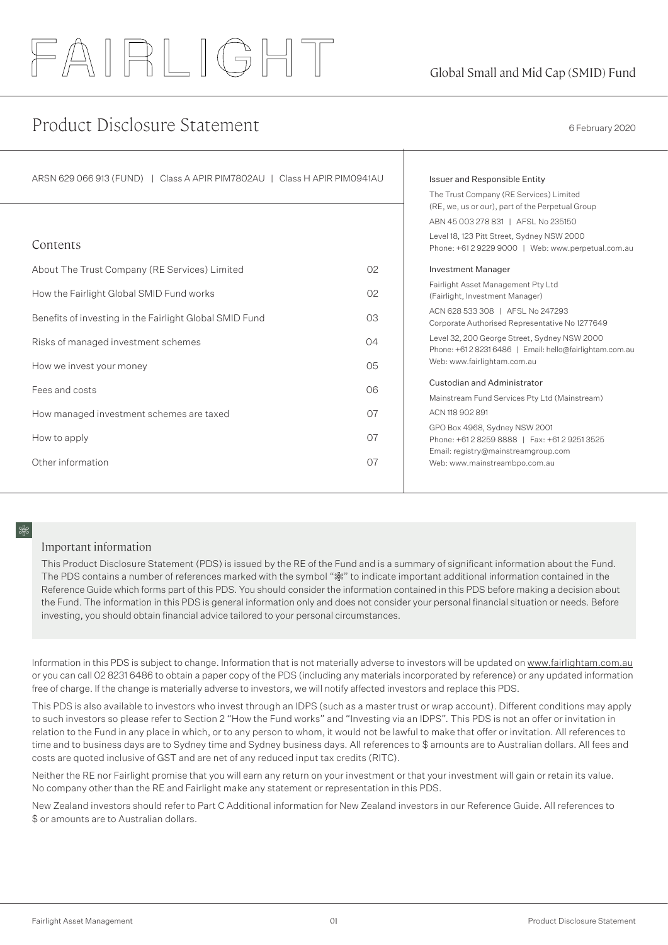# FAIRLIGHT

# Product Disclosure Statement 6 February 2020

| ARSN 629 066 913 (FUND)   Class A APIR PIM7802AU   Class H APIR PIM0941AU |                | Issuer and Responsible Entity<br>The Trust Company (RE Services) Limited<br>(RE, we, us or our), part of the Perpetual Group<br>ABN 45 003 278 831   AFSL No 235150<br>Level 18, 123 Pitt Street, Sydney NSW 2000 |
|---------------------------------------------------------------------------|----------------|-------------------------------------------------------------------------------------------------------------------------------------------------------------------------------------------------------------------|
| Contents                                                                  |                | Phone: +61 2 9229 9000   Web: www.perpetual.com.au                                                                                                                                                                |
| About The Trust Company (RE Services) Limited                             | 02             | Investment Manager                                                                                                                                                                                                |
| How the Fairlight Global SMID Fund works                                  | O <sub>2</sub> | Fairlight Asset Management Pty Ltd<br>(Fairlight, Investment Manager)                                                                                                                                             |
| Benefits of investing in the Fairlight Global SMID Fund                   | O <sub>3</sub> | ACN 628 533 308   AFSL No 247293<br>Corporate Authorised Representative No 1277649                                                                                                                                |
| Risks of managed investment schemes                                       | 04             | Level 32, 200 George Street, Sydney NSW 2000<br>Phone: +61 2 8231 6486   Email: hello@fairlightam.com.au                                                                                                          |
| How we invest your money                                                  | O <sub>5</sub> | Web: www.fairlightam.com.au                                                                                                                                                                                       |
| Fees and costs                                                            | O6             | Custodian and Administrator<br>Mainstream Fund Services Pty Ltd (Mainstream)                                                                                                                                      |
| How managed investment schemes are taxed                                  | O <sub>7</sub> | ACN 118 902 891                                                                                                                                                                                                   |
| How to apply                                                              | O <sub>7</sub> | GPO Box 4968, Sydney NSW 2001<br>Phone: +61 2 8259 8888   Fax: +61 2 9251 3525<br>Email: registry@mainstreamgroup.com                                                                                             |
| Other information                                                         | O <sub>7</sub> | Web: www.mainstreambpo.com.au                                                                                                                                                                                     |

## Important information

This Product Disclosure Statement (PDS) is issued by the RE of the Fund and is a summary of significant information about the Fund. The PDS contains a number of references marked with the symbol " \*" to indicate important additional information contained in the Reference Guide which forms part of this PDS. You should consider the information contained in this PDS before making a decision about the Fund. The information in this PDS is general information only and does not consider your personal financial situation or needs. Before investing, you should obtain financial advice tailored to your personal circumstances.

Information in this PDS is subject to change. Information that is not materially adverse to investors will be updated on www.fairlightam.com.au or you can call 02 8231 6486 to obtain a paper copy of the PDS (including any materials incorporated by reference) or any updated information free of charge. If the change is materially adverse to investors, we will notify affected investors and replace this PDS.

This PDS is also available to investors who invest through an IDPS (such as a master trust or wrap account). Different conditions may apply to such investors so please refer to Section 2 "How the Fund works" and "Investing via an IDPS". This PDS is not an offer or invitation in relation to the Fund in any place in which, or to any person to whom, it would not be lawful to make that offer or invitation. All references to time and to business days are to Sydney time and Sydney business days. All references to \$ amounts are to Australian dollars. All fees and costs are quoted inclusive of GST and are net of any reduced input tax credits (RITC).

Neither the RE nor Fairlight promise that you will earn any return on your investment or that your investment will gain or retain its value. No company other than the RE and Fairlight make any statement or representation in this PDS.

New Zealand investors should refer to Part C Additional information for New Zealand investors in our Reference Guide. All references to \$ or amounts are to Australian dollars.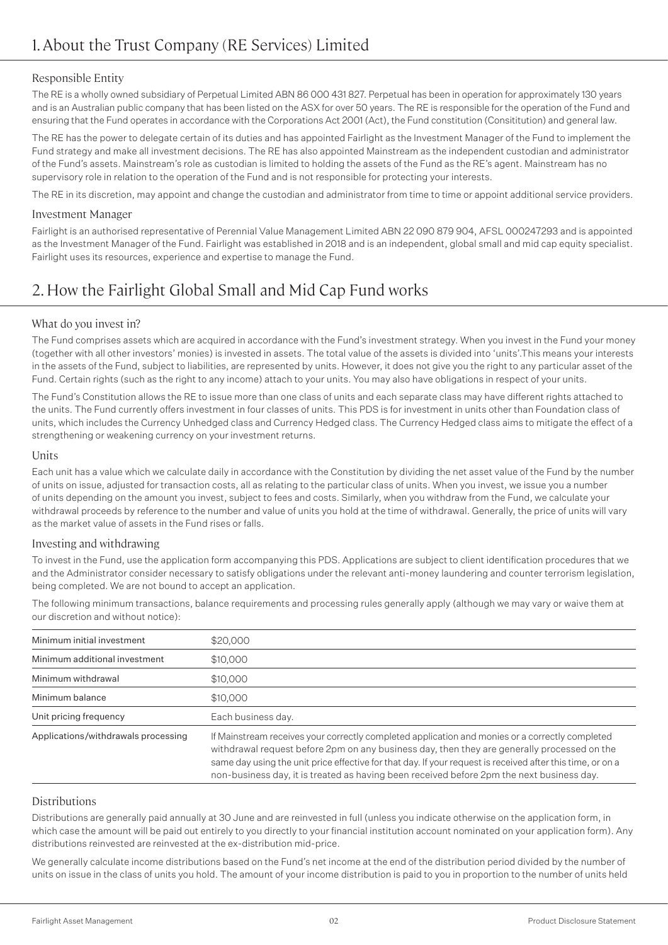## Responsible Entity

The RE is a wholly owned subsidiary of Perpetual Limited ABN 86 000 431 827. Perpetual has been in operation for approximately 130 years and is an Australian public company that has been listed on the ASX for over 50 years. The RE is responsible for the operation of the Fund and ensuring that the Fund operates in accordance with the Corporations Act 2001 (Act), the Fund constitution (Consititution) and general law.

The RE has the power to delegate certain of its duties and has appointed Fairlight as the Investment Manager of the Fund to implement the Fund strategy and make all investment decisions. The RE has also appointed Mainstream as the independent custodian and administrator of the Fund's assets. Mainstream's role as custodian is limited to holding the assets of the Fund as the RE's agent. Mainstream has no supervisory role in relation to the operation of the Fund and is not responsible for protecting your interests.

The RE in its discretion, may appoint and change the custodian and administrator from time to time or appoint additional service providers.

## Investment Manager

Fairlight is an authorised representative of Perennial Value Management Limited ABN 22 090 879 904, AFSL 000247293 and is appointed as the Investment Manager of the Fund. Fairlight was established in 2018 and is an independent, global small and mid cap equity specialist. Fairlight uses its resources, experience and expertise to manage the Fund.

# 2. How the Fairlight Global Small and Mid Cap Fund works

## What do you invest in?

The Fund comprises assets which are acquired in accordance with the Fund's investment strategy. When you invest in the Fund your money (together with all other investors' monies) is invested in assets. The total value of the assets is divided into 'units'.This means your interests in the assets of the Fund, subject to liabilities, are represented by units. However, it does not give you the right to any particular asset of the Fund. Certain rights (such as the right to any income) attach to your units. You may also have obligations in respect of your units.

The Fund's Constitution allows the RE to issue more than one class of units and each separate class may have different rights attached to the units. The Fund currently offers investment in four classes of units. This PDS is for investment in units other than Foundation class of units, which includes the Currency Unhedged class and Currency Hedged class. The Currency Hedged class aims to mitigate the effect of a strengthening or weakening currency on your investment returns.

## Units

Each unit has a value which we calculate daily in accordance with the Constitution by dividing the net asset value of the Fund by the number of units on issue, adjusted for transaction costs, all as relating to the particular class of units. When you invest, we issue you a number of units depending on the amount you invest, subject to fees and costs. Similarly, when you withdraw from the Fund, we calculate your withdrawal proceeds by reference to the number and value of units you hold at the time of withdrawal. Generally, the price of units will vary as the market value of assets in the Fund rises or falls.

## Investing and withdrawing

To invest in the Fund, use the application form accompanying this PDS. Applications are subject to client identification procedures that we and the Administrator consider necessary to satisfy obligations under the relevant anti-money laundering and counter terrorism legislation, being completed. We are not bound to accept an application.

The following minimum transactions, balance requirements and processing rules generally apply (although we may vary or waive them at our discretion and without notice):

| Minimum initial investment          | \$20,000                                                                                                                                                                                                                                                                                                                                                                                                  |
|-------------------------------------|-----------------------------------------------------------------------------------------------------------------------------------------------------------------------------------------------------------------------------------------------------------------------------------------------------------------------------------------------------------------------------------------------------------|
| Minimum additional investment       | \$10,000                                                                                                                                                                                                                                                                                                                                                                                                  |
| Minimum withdrawal                  | \$10,000                                                                                                                                                                                                                                                                                                                                                                                                  |
| Minimum balance                     | \$10,000                                                                                                                                                                                                                                                                                                                                                                                                  |
| Unit pricing frequency              | Each business day.                                                                                                                                                                                                                                                                                                                                                                                        |
| Applications/withdrawals processing | If Mainstream receives your correctly completed application and monies or a correctly completed<br>withdrawal request before 2pm on any business day, then they are generally processed on the<br>same day using the unit price effective for that day. If your request is received after this time, or on a<br>non-business day, it is treated as having been received before 2pm the next business day. |

## Distributions

Distributions are generally paid annually at 30 June and are reinvested in full (unless you indicate otherwise on the application form, in which case the amount will be paid out entirely to you directly to your financial institution account nominated on your application form). Any distributions reinvested are reinvested at the ex-distribution mid-price.

We generally calculate income distributions based on the Fund's net income at the end of the distribution period divided by the number of units on issue in the class of units you hold. The amount of your income distribution is paid to you in proportion to the number of units held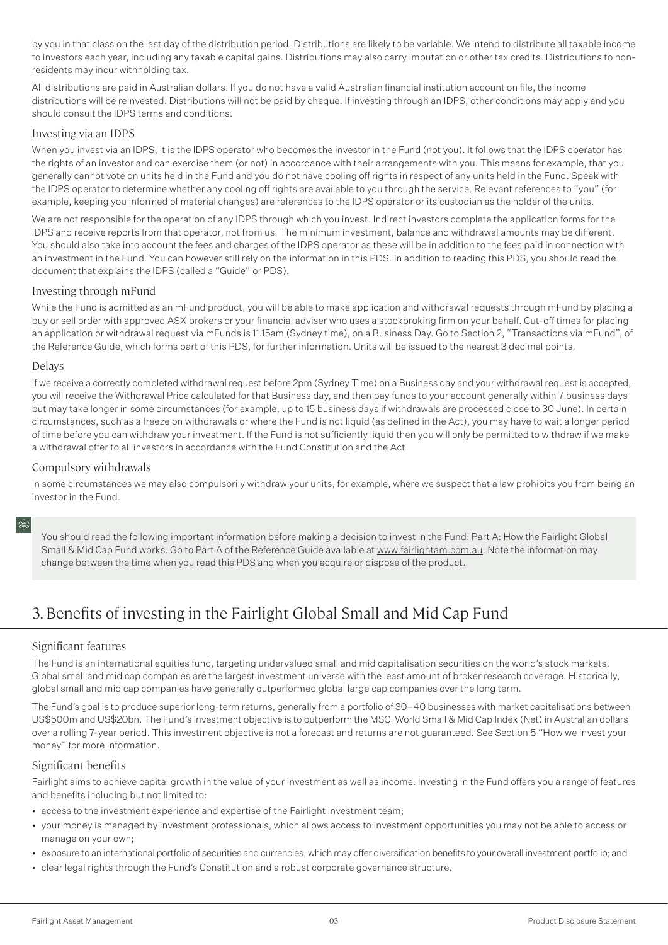by you in that class on the last day of the distribution period. Distributions are likely to be variable. We intend to distribute all taxable income to investors each year, including any taxable capital gains. Distributions may also carry imputation or other tax credits. Distributions to nonresidents may incur withholding tax.

All distributions are paid in Australian dollars. If you do not have a valid Australian financial institution account on file, the income distributions will be reinvested. Distributions will not be paid by cheque. If investing through an IDPS, other conditions may apply and you should consult the IDPS terms and conditions.

### Investing via an IDPS

When you invest via an IDPS, it is the IDPS operator who becomes the investor in the Fund (not you). It follows that the IDPS operator has the rights of an investor and can exercise them (or not) in accordance with their arrangements with you. This means for example, that you generally cannot vote on units held in the Fund and you do not have cooling off rights in respect of any units held in the Fund. Speak with the IDPS operator to determine whether any cooling off rights are available to you through the service. Relevant references to "you" (for example, keeping you informed of material changes) are references to the IDPS operator or its custodian as the holder of the units.

We are not responsible for the operation of any IDPS through which you invest. Indirect investors complete the application forms for the IDPS and receive reports from that operator, not from us. The minimum investment, balance and withdrawal amounts may be different. You should also take into account the fees and charges of the IDPS operator as these will be in addition to the fees paid in connection with an investment in the Fund. You can however still rely on the information in this PDS. In addition to reading this PDS, you should read the document that explains the IDPS (called a "Guide" or PDS).

### Investing through mFund

While the Fund is admitted as an mFund product, you will be able to make application and withdrawal requests through mFund by placing a buy or sell order with approved ASX brokers or your financial adviser who uses a stockbroking firm on your behalf. Cut-off times for placing an application or withdrawal request via mFunds is 11.15am (Sydney time), on a Business Day. Go to Section 2, "Transactions via mFund", of the Reference Guide, which forms part of this PDS, for further information. Units will be issued to the nearest 3 decimal points.

### Delays

If we receive a correctly completed withdrawal request before 2pm (Sydney Time) on a Business day and your withdrawal request is accepted, you will receive the Withdrawal Price calculated for that Business day, and then pay funds to your account generally within 7 business days but may take longer in some circumstances (for example, up to 15 business days if withdrawals are processed close to 30 June). In certain circumstances, such as a freeze on withdrawals or where the Fund is not liquid (as defined in the Act), you may have to wait a longer period of time before you can withdraw your investment. If the Fund is not sufficiently liquid then you will only be permitted to withdraw if we make a withdrawal offer to all investors in accordance with the Fund Constitution and the Act.

### Compulsory withdrawals

In some circumstances we may also compulsorily withdraw your units, for example, where we suspect that a law prohibits you from being an investor in the Fund.

You should read the following important information before making a decision to invest in the Fund: Part A: How the Fairlight Global Small & Mid Cap Fund works. Go to Part A of the Reference Guide available at www.fairlightam.com.au. Note the information may change between the time when you read this PDS and when you acquire or dispose of the product.

# 3. Benefits of investing in the Fairlight Global Small and Mid Cap Fund

## Significant features

The Fund is an international equities fund, targeting undervalued small and mid capitalisation securities on the world's stock markets. Global small and mid cap companies are the largest investment universe with the least amount of broker research coverage. Historically, global small and mid cap companies have generally outperformed global large cap companies over the long term.

The Fund's goal is to produce superior long-term returns, generally from a portfolio of 30–40 businesses with market capitalisations between US\$500m and US\$20bn. The Fund's investment objective is to outperform the MSCI World Small & Mid Cap Index (Net) in Australian dollars over a rolling 7-year period. This investment objective is not a forecast and returns are not guaranteed. See Section 5 "How we invest your money" for more information.

### Significant benefits

Fairlight aims to achieve capital growth in the value of your investment as well as income. Investing in the Fund offers you a range of features and benefits including but not limited to:

- access to the investment experience and expertise of the Fairlight investment team;
- your money is managed by investment professionals, which allows access to investment opportunities you may not be able to access or manage on your own;
- exposure to an international portfolio of securities and currencies, which may offer diversification benefits to your overall investment portfolio; and
- clear legal rights through the Fund's Constitution and a robust corporate governance structure.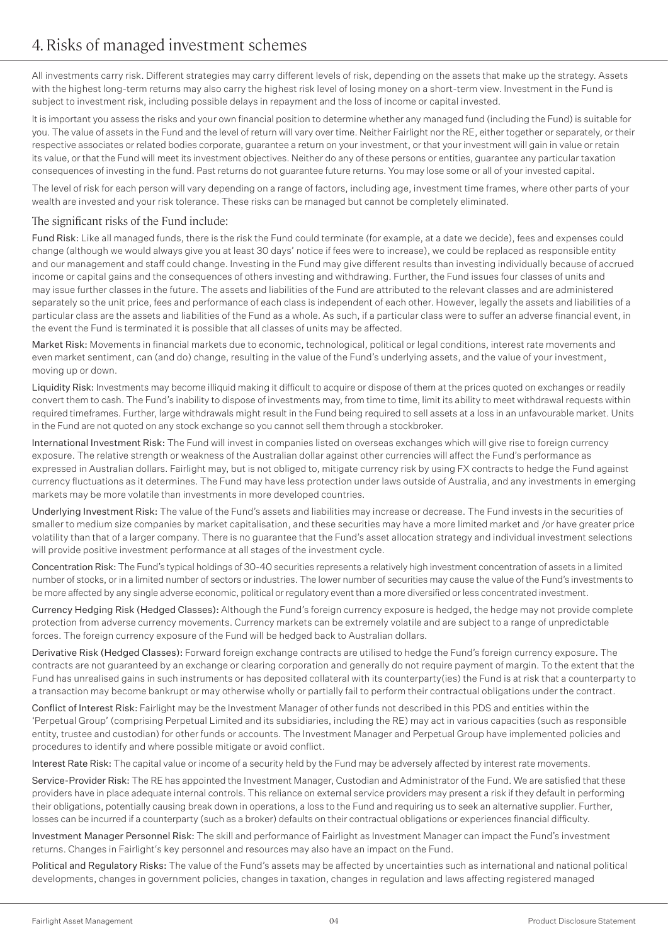All investments carry risk. Different strategies may carry different levels of risk, depending on the assets that make up the strategy. Assets with the highest long-term returns may also carry the highest risk level of losing money on a short-term view. Investment in the Fund is subject to investment risk, including possible delays in repayment and the loss of income or capital invested.

It is important you assess the risks and your own financial position to determine whether any managed fund (including the Fund) is suitable for you. The value of assets in the Fund and the level of return will vary over time. Neither Fairlight nor the RE, either together or separately, or their respective associates or related bodies corporate, guarantee a return on your investment, or that your investment will gain in value or retain its value, or that the Fund will meet its investment objectives. Neither do any of these persons or entities, guarantee any particular taxation consequences of investing in the fund. Past returns do not guarantee future returns. You may lose some or all of your invested capital.

The level of risk for each person will vary depending on a range of factors, including age, investment time frames, where other parts of your wealth are invested and your risk tolerance. These risks can be managed but cannot be completely eliminated.

## The significant risks of the Fund include:

Fund Risk: Like all managed funds, there is the risk the Fund could terminate (for example, at a date we decide), fees and expenses could change (although we would always give you at least 30 days' notice if fees were to increase), we could be replaced as responsible entity and our management and staff could change. Investing in the Fund may give different results than investing individually because of accrued income or capital gains and the consequences of others investing and withdrawing. Further, the Fund issues four classes of units and may issue further classes in the future. The assets and liabilities of the Fund are attributed to the relevant classes and are administered separately so the unit price, fees and performance of each class is independent of each other. However, legally the assets and liabilities of a particular class are the assets and liabilities of the Fund as a whole. As such, if a particular class were to suffer an adverse financial event, in the event the Fund is terminated it is possible that all classes of units may be affected.

Market Risk: Movements in financial markets due to economic, technological, political or legal conditions, interest rate movements and even market sentiment, can (and do) change, resulting in the value of the Fund's underlying assets, and the value of your investment, moving up or down.

Liquidity Risk: Investments may become illiquid making it difficult to acquire or dispose of them at the prices quoted on exchanges or readily convert them to cash. The Fund's inability to dispose of investments may, from time to time, limit its ability to meet withdrawal requests within required timeframes. Further, large withdrawals might result in the Fund being required to sell assets at a loss in an unfavourable market. Units in the Fund are not quoted on any stock exchange so you cannot sell them through a stockbroker.

International Investment Risk: The Fund will invest in companies listed on overseas exchanges which will give rise to foreign currency exposure. The relative strength or weakness of the Australian dollar against other currencies will affect the Fund's performance as expressed in Australian dollars. Fairlight may, but is not obliged to, mitigate currency risk by using FX contracts to hedge the Fund against currency fluctuations as it determines. The Fund may have less protection under laws outside of Australia, and any investments in emerging markets may be more volatile than investments in more developed countries.

Underlying Investment Risk: The value of the Fund's assets and liabilities may increase or decrease. The Fund invests in the securities of smaller to medium size companies by market capitalisation, and these securities may have a more limited market and /or have greater price volatility than that of a larger company. There is no guarantee that the Fund's asset allocation strategy and individual investment selections will provide positive investment performance at all stages of the investment cycle.

Concentration Risk: The Fund's typical holdings of 30-40 securities represents a relatively high investment concentration of assets in a limited number of stocks, or in a limited number of sectors or industries. The lower number of securities may cause the value of the Fund's investments to be more affected by any single adverse economic, political or regulatory event than a more diversified or less concentrated investment.

Currency Hedging Risk (Hedged Classes): Although the Fund's foreign currency exposure is hedged, the hedge may not provide complete protection from adverse currency movements. Currency markets can be extremely volatile and are subject to a range of unpredictable forces. The foreign currency exposure of the Fund will be hedged back to Australian dollars.

Derivative Risk (Hedged Classes): Forward foreign exchange contracts are utilised to hedge the Fund's foreign currency exposure. The contracts are not guaranteed by an exchange or clearing corporation and generally do not require payment of margin. To the extent that the Fund has unrealised gains in such instruments or has deposited collateral with its counterparty(ies) the Fund is at risk that a counterparty to a transaction may become bankrupt or may otherwise wholly or partially fail to perform their contractual obligations under the contract.

Conflict of Interest Risk: Fairlight may be the Investment Manager of other funds not described in this PDS and entities within the 'Perpetual Group' (comprising Perpetual Limited and its subsidiaries, including the RE) may act in various capacities (such as responsible entity, trustee and custodian) for other funds or accounts. The Investment Manager and Perpetual Group have implemented policies and procedures to identify and where possible mitigate or avoid conflict.

Interest Rate Risk: The capital value or income of a security held by the Fund may be adversely affected by interest rate movements.

Service-Provider Risk: The RE has appointed the Investment Manager, Custodian and Administrator of the Fund. We are satisfied that these providers have in place adequate internal controls. This reliance on external service providers may present a risk if they default in performing their obligations, potentially causing break down in operations, a loss to the Fund and requiring us to seek an alternative supplier. Further, losses can be incurred if a counterparty (such as a broker) defaults on their contractual obligations or experiences financial difficulty.

Investment Manager Personnel Risk: The skill and performance of Fairlight as Investment Manager can impact the Fund's investment returns. Changes in Fairlight's key personnel and resources may also have an impact on the Fund.

Political and Regulatory Risks: The value of the Fund's assets may be affected by uncertainties such as international and national political developments, changes in government policies, changes in taxation, changes in regulation and laws affecting registered managed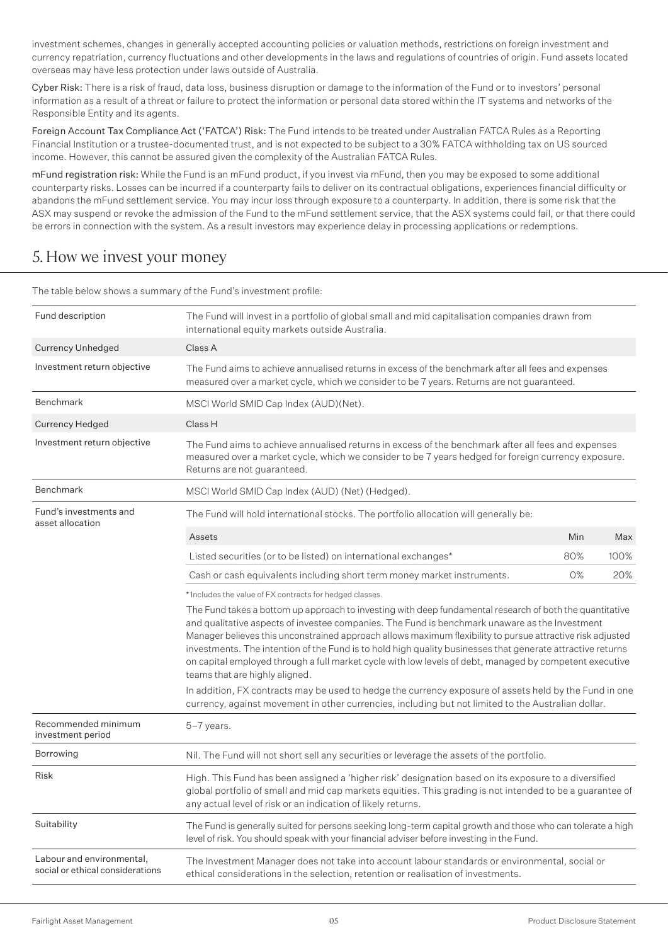investment schemes, changes in generally accepted accounting policies or valuation methods, restrictions on foreign investment and currency repatriation, currency fluctuations and other developments in the laws and regulations of countries of origin. Fund assets located overseas may have less protection under laws outside of Australia.

Cyber Risk: There is a risk of fraud, data loss, business disruption or damage to the information of the Fund or to investors' personal information as a result of a threat or failure to protect the information or personal data stored within the IT systems and networks of the Responsible Entity and its agents.

Foreign Account Tax Compliance Act ('FATCA') Risk: The Fund intends to be treated under Australian FATCA Rules as a Reporting Financial Institution or a trustee-documented trust, and is not expected to be subject to a 30% FATCA withholding tax on US sourced income. However, this cannot be assured given the complexity of the Australian FATCA Rules.

mFund registration risk: While the Fund is an mFund product, if you invest via mFund, then you may be exposed to some additional counterparty risks. Losses can be incurred if a counterparty fails to deliver on its contractual obligations, experiences financial difficulty or abandons the mFund settlement service. You may incur loss through exposure to a counterparty. In addition, there is some risk that the ASX may suspend or revoke the admission of the Fund to the mFund settlement service, that the ASX systems could fail, or that there could be errors in connection with the system. As a result investors may experience delay in processing applications or redemptions.

# 5. How we invest your money

| Fund description                                              | The Fund will invest in a portfolio of global small and mid capitalisation companies drawn from<br>international equity markets outside Australia.                                                                                                                                                                                                                                                                                                                                                                                                                                  |     |      |
|---------------------------------------------------------------|-------------------------------------------------------------------------------------------------------------------------------------------------------------------------------------------------------------------------------------------------------------------------------------------------------------------------------------------------------------------------------------------------------------------------------------------------------------------------------------------------------------------------------------------------------------------------------------|-----|------|
| <b>Currency Unhedged</b>                                      | Class A                                                                                                                                                                                                                                                                                                                                                                                                                                                                                                                                                                             |     |      |
| Investment return objective                                   | The Fund aims to achieve annualised returns in excess of the benchmark after all fees and expenses<br>measured over a market cycle, which we consider to be 7 years. Returns are not guaranteed.                                                                                                                                                                                                                                                                                                                                                                                    |     |      |
| <b>Benchmark</b>                                              | MSCI World SMID Cap Index (AUD)(Net).                                                                                                                                                                                                                                                                                                                                                                                                                                                                                                                                               |     |      |
| Currency Hedged                                               | Class H                                                                                                                                                                                                                                                                                                                                                                                                                                                                                                                                                                             |     |      |
| Investment return objective                                   | The Fund aims to achieve annualised returns in excess of the benchmark after all fees and expenses<br>measured over a market cycle, which we consider to be 7 years hedged for foreign currency exposure.<br>Returns are not guaranteed.                                                                                                                                                                                                                                                                                                                                            |     |      |
| Benchmark                                                     | MSCI World SMID Cap Index (AUD) (Net) (Hedged).                                                                                                                                                                                                                                                                                                                                                                                                                                                                                                                                     |     |      |
| Fund's investments and<br>asset allocation                    | The Fund will hold international stocks. The portfolio allocation will generally be:                                                                                                                                                                                                                                                                                                                                                                                                                                                                                                |     |      |
|                                                               | Assets                                                                                                                                                                                                                                                                                                                                                                                                                                                                                                                                                                              | Min | Max  |
|                                                               | Listed securities (or to be listed) on international exchanges*                                                                                                                                                                                                                                                                                                                                                                                                                                                                                                                     | 80% | 100% |
|                                                               | Cash or cash equivalents including short term money market instruments.                                                                                                                                                                                                                                                                                                                                                                                                                                                                                                             | 0%  | 20%  |
|                                                               | * Includes the value of FX contracts for hedged classes.                                                                                                                                                                                                                                                                                                                                                                                                                                                                                                                            |     |      |
|                                                               | The Fund takes a bottom up approach to investing with deep fundamental research of both the quantitative<br>and qualitative aspects of investee companies. The Fund is benchmark unaware as the Investment<br>Manager believes this unconstrained approach allows maximum flexibility to pursue attractive risk adjusted<br>investments. The intention of the Fund is to hold high quality businesses that generate attractive returns<br>on capital employed through a full market cycle with low levels of debt, managed by competent executive<br>teams that are highly aligned. |     |      |
|                                                               | In addition, FX contracts may be used to hedge the currency exposure of assets held by the Fund in one<br>currency, against movement in other currencies, including but not limited to the Australian dollar.                                                                                                                                                                                                                                                                                                                                                                       |     |      |
| Recommended minimum<br>investment period                      | 5-7 years.                                                                                                                                                                                                                                                                                                                                                                                                                                                                                                                                                                          |     |      |
| Borrowing                                                     | Nil. The Fund will not short sell any securities or leverage the assets of the portfolio.                                                                                                                                                                                                                                                                                                                                                                                                                                                                                           |     |      |
| Risk                                                          | High. This Fund has been assigned a 'higher risk' designation based on its exposure to a diversified<br>global portfolio of small and mid cap markets equities. This grading is not intended to be a guarantee of<br>any actual level of risk or an indication of likely returns.                                                                                                                                                                                                                                                                                                   |     |      |
| Suitability                                                   | The Fund is generally suited for persons seeking long-term capital growth and those who can tolerate a high<br>level of risk. You should speak with your financial adviser before investing in the Fund.                                                                                                                                                                                                                                                                                                                                                                            |     |      |
| Labour and environmental,<br>social or ethical considerations | The Investment Manager does not take into account labour standards or environmental, social or<br>ethical considerations in the selection, retention or realisation of investments.                                                                                                                                                                                                                                                                                                                                                                                                 |     |      |
|                                                               |                                                                                                                                                                                                                                                                                                                                                                                                                                                                                                                                                                                     |     |      |

The table below shows a summary of the Fund's investment profile: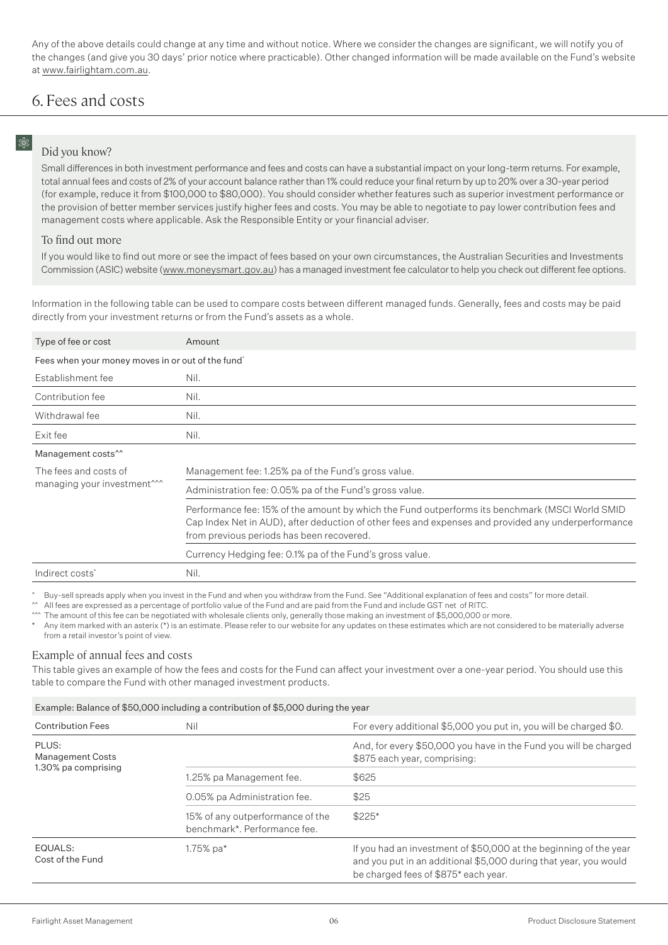Any of the above details could change at any time and without notice. Where we consider the changes are significant, we will notify you of the changes (and give you 30 days' prior notice where practicable). Other changed information will be made available on the Fund's website at www.fairlightam.com.au.

# 6. Fees and costs

# 8%

## Did you know?

Small differences in both investment performance and fees and costs can have a substantial impact on your long-term returns. For example, total annual fees and costs of 2% of your account balance rather than 1% could reduce your final return by up to 20% over a 30-year period (for example, reduce it from \$100,000 to \$80,000). You should consider whether features such as superior investment performance or the provision of better member services justify higher fees and costs. You may be able to negotiate to pay lower contribution fees and management costs where applicable. Ask the Responsible Entity or your financial adviser.

#### To find out more

If you would like to find out more or see the impact of fees based on your own circumstances, the Australian Securities and Investments Commission (ASIC) website (www.moneysmart.gov.au) has a managed investment fee calculator to help you check out different fee options.

Information in the following table can be used to compare costs between different managed funds. Generally, fees and costs may be paid directly from your investment returns or from the Fund's assets as a whole.

| Type of fee or cost                                              | Amount                                                                                                                                                                                                                                              |
|------------------------------------------------------------------|-----------------------------------------------------------------------------------------------------------------------------------------------------------------------------------------------------------------------------------------------------|
| Fees when your money moves in or out of the fund                 |                                                                                                                                                                                                                                                     |
| Establishment fee                                                | Nil.                                                                                                                                                                                                                                                |
| Contribution fee                                                 | Nil.                                                                                                                                                                                                                                                |
| Withdrawal fee                                                   | Nil.                                                                                                                                                                                                                                                |
| Exit fee                                                         | Nil.                                                                                                                                                                                                                                                |
| Management costs <sup>^^</sup>                                   |                                                                                                                                                                                                                                                     |
| The fees and costs of<br>managing your investment <sup>***</sup> | Management fee: 1.25% pa of the Fund's gross value.                                                                                                                                                                                                 |
|                                                                  | Administration fee: 0.05% pa of the Fund's gross value.                                                                                                                                                                                             |
|                                                                  | Performance fee: 15% of the amount by which the Fund outperforms its benchmark (MSCI World SMID<br>Cap Index Net in AUD), after deduction of other fees and expenses and provided any underperformance<br>from previous periods has been recovered. |
|                                                                  | Currency Hedging fee: 0.1% pa of the Fund's gross value.                                                                                                                                                                                            |
| Indirect costs <sup>*</sup>                                      | Nil.                                                                                                                                                                                                                                                |
|                                                                  |                                                                                                                                                                                                                                                     |

Buy-sell spreads apply when you invest in the Fund and when you withdraw from the Fund. See "Additional explanation of fees and costs" for more detail.

^^ All fees are expressed as a percentage of portfolio value of the Fund and are paid from the Fund and include GST net of RITC.

^^^ The amount of this fee can be negotiated with wholesale clients only, generally those making an investment of \$5,000,000 or more.

Any item marked with an asterix (\*) is an estimate. Please refer to our website for any updates on these estimates which are not considered to be materially adverse from a retail investor's point of view.

### Example of annual fees and costs

This table gives an example of how the fees and costs for the Fund can affect your investment over a one-year period. You should use this table to compare the Fund with other managed investment products.

#### Example: Balance of \$50,000 including a contribution of \$5,000 during the year

| <b>Contribution Fees</b>    | Nil                                                              | For every additional \$5,000 you put in, you will be charged \$0.                                                                                                             |
|-----------------------------|------------------------------------------------------------------|-------------------------------------------------------------------------------------------------------------------------------------------------------------------------------|
| PLUS:<br>Management Costs   |                                                                  | And, for every \$50,000 you have in the Fund you will be charged<br>\$875 each year, comprising:                                                                              |
| 1.30% pa comprising         | 1.25% pa Management fee.                                         | \$625                                                                                                                                                                         |
|                             | 0.05% pa Administration fee.                                     | \$25                                                                                                                                                                          |
|                             | 15% of any outperformance of the<br>benchmark*. Performance fee. | $$225*$                                                                                                                                                                       |
| EQUALS:<br>Cost of the Fund | 1.75% $pa*$                                                      | If you had an investment of \$50,000 at the beginning of the year<br>and you put in an additional \$5,000 during that year, you would<br>be charged fees of \$875* each year. |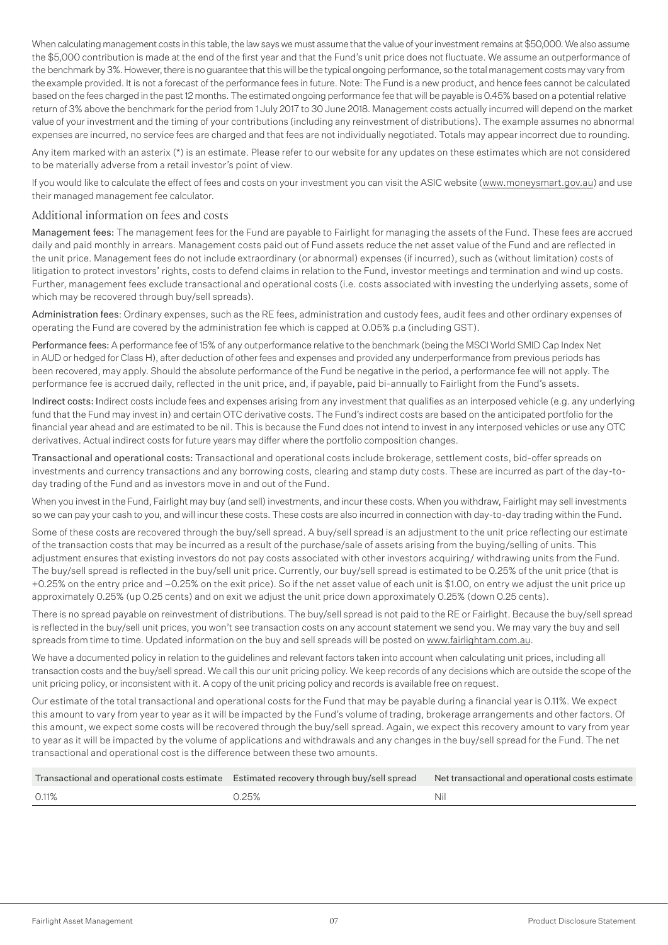When calculating management costs in this table, the law says we must assume that the value of your investment remains at \$50,000. We also assume the \$5,000 contribution is made at the end of the first year and that the Fund's unit price does not fluctuate. We assume an outperformance of the benchmark by 3%. However, there is no guarantee that this will be the typical ongoing performance, so the total management costs may vary from the example provided. It is not a forecast of the performance fees in future. Note: The Fund is a new product, and hence fees cannot be calculated based on the fees charged in the past 12 months. The estimated ongoing performance fee that will be payable is 0.45% based on a potential relative return of 3% above the benchmark for the period from 1 July 2017 to 30 June 2018. Management costs actually incurred will depend on the market value of your investment and the timing of your contributions (including any reinvestment of distributions). The example assumes no abnormal expenses are incurred, no service fees are charged and that fees are not individually negotiated. Totals may appear incorrect due to rounding.

Any item marked with an asterix (\*) is an estimate. Please refer to our website for any updates on these estimates which are not considered to be materially adverse from a retail investor's point of view.

If you would like to calculate the effect of fees and costs on your investment you can visit the ASIC website (www.moneysmart.gov.au) and use their managed management fee calculator.

### Additional information on fees and costs

Management fees: The management fees for the Fund are payable to Fairlight for managing the assets of the Fund. These fees are accrued daily and paid monthly in arrears. Management costs paid out of Fund assets reduce the net asset value of the Fund and are reflected in the unit price. Management fees do not include extraordinary (or abnormal) expenses (if incurred), such as (without limitation) costs of litigation to protect investors' rights, costs to defend claims in relation to the Fund, investor meetings and termination and wind up costs. Further, management fees exclude transactional and operational costs (i.e. costs associated with investing the underlying assets, some of which may be recovered through buy/sell spreads).

Administration fees: Ordinary expenses, such as the RE fees, administration and custody fees, audit fees and other ordinary expenses of operating the Fund are covered by the administration fee which is capped at 0.05% p.a (including GST).

Performance fees: A performance fee of 15% of any outperformance relative to the benchmark (being the MSCI World SMID Cap Index Net in AUD or hedged for Class H), after deduction of other fees and expenses and provided any underperformance from previous periods has been recovered, may apply. Should the absolute performance of the Fund be negative in the period, a performance fee will not apply. The performance fee is accrued daily, reflected in the unit price, and, if payable, paid bi-annually to Fairlight from the Fund's assets.

Indirect costs: Indirect costs include fees and expenses arising from any investment that qualifies as an interposed vehicle (e.g. any underlying fund that the Fund may invest in) and certain OTC derivative costs. The Fund's indirect costs are based on the anticipated portfolio for the financial year ahead and are estimated to be nil. This is because the Fund does not intend to invest in any interposed vehicles or use any OTC derivatives. Actual indirect costs for future years may differ where the portfolio composition changes.

Transactional and operational costs: Transactional and operational costs include brokerage, settlement costs, bid-offer spreads on investments and currency transactions and any borrowing costs, clearing and stamp duty costs. These are incurred as part of the day-today trading of the Fund and as investors move in and out of the Fund.

When you invest in the Fund, Fairlight may buy (and sell) investments, and incur these costs. When you withdraw, Fairlight may sell investments so we can pay your cash to you, and will incur these costs. These costs are also incurred in connection with day-to-day trading within the Fund.

Some of these costs are recovered through the buy/sell spread. A buy/sell spread is an adjustment to the unit price reflecting our estimate of the transaction costs that may be incurred as a result of the purchase/sale of assets arising from the buying/selling of units. This adjustment ensures that existing investors do not pay costs associated with other investors acquiring/ withdrawing units from the Fund. The buy/sell spread is reflected in the buy/sell unit price. Currently, our buy/sell spread is estimated to be 0.25% of the unit price (that is +0.25% on the entry price and –0.25% on the exit price). So if the net asset value of each unit is \$1.00, on entry we adjust the unit price up approximately 0.25% (up 0.25 cents) and on exit we adjust the unit price down approximately 0.25% (down 0.25 cents).

There is no spread payable on reinvestment of distributions. The buy/sell spread is not paid to the RE or Fairlight. Because the buy/sell spread is reflected in the buy/sell unit prices, you won't see transaction costs on any account statement we send you. We may vary the buy and sell spreads from time to time. Updated information on the buy and sell spreads will be posted on www.fairlightam.com.au.

We have a documented policy in relation to the quidelines and relevant factors taken into account when calculating unit prices, including all transaction costs and the buy/sell spread. We call this our unit pricing policy. We keep records of any decisions which are outside the scope of the unit pricing policy, or inconsistent with it. A copy of the unit pricing policy and records is available free on request.

Our estimate of the total transactional and operational costs for the Fund that may be payable during a financial year is 0.11%. We expect this amount to vary from year to year as it will be impacted by the Fund's volume of trading, brokerage arrangements and other factors. Of this amount, we expect some costs will be recovered through the buy/sell spread. Again, we expect this recovery amount to vary from year to year as it will be impacted by the volume of applications and withdrawals and any changes in the buy/sell spread for the Fund. The net transactional and operational cost is the difference between these two amounts.

|                        | Transactional and operational costs estimate Estimated recovery through buy/sell spread Net transactional and operational costs estimate |
|------------------------|------------------------------------------------------------------------------------------------------------------------------------------|
| 0.11%<br><u>ባ.25% </u> | Nil                                                                                                                                      |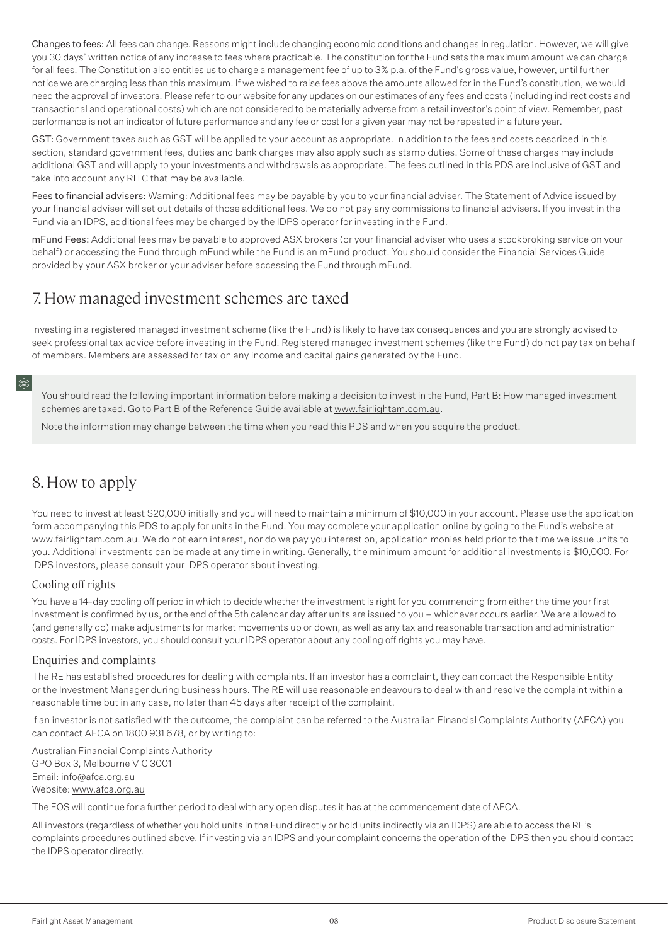Changes to fees: All fees can change. Reasons might include changing economic conditions and changes in regulation. However, we will give you 30 days' written notice of any increase to fees where practicable. The constitution for the Fund sets the maximum amount we can charge for all fees. The Constitution also entitles us to charge a management fee of up to 3% p.a. of the Fund's gross value, however, until further notice we are charging less than this maximum. If we wished to raise fees above the amounts allowed for in the Fund's constitution, we would need the approval of investors. Please refer to our website for any updates on our estimates of any fees and costs (including indirect costs and transactional and operational costs) which are not considered to be materially adverse from a retail investor's point of view. Remember, past performance is not an indicator of future performance and any fee or cost for a given year may not be repeated in a future year.

GST: Government taxes such as GST will be applied to your account as appropriate. In addition to the fees and costs described in this section, standard government fees, duties and bank charges may also apply such as stamp duties. Some of these charges may include additional GST and will apply to your investments and withdrawals as appropriate. The fees outlined in this PDS are inclusive of GST and take into account any RITC that may be available.

Fees to financial advisers: Warning: Additional fees may be payable by you to your financial adviser. The Statement of Advice issued by your financial adviser will set out details of those additional fees. We do not pay any commissions to financial advisers. If you invest in the Fund via an IDPS, additional fees may be charged by the IDPS operator for investing in the Fund.

mFund Fees: Additional fees may be payable to approved ASX brokers (or your financial adviser who uses a stockbroking service on your behalf) or accessing the Fund through mFund while the Fund is an mFund product. You should consider the Financial Services Guide provided by your ASX broker or your adviser before accessing the Fund through mFund.

# 7. How managed investment schemes are taxed

Investing in a registered managed investment scheme (like the Fund) is likely to have tax consequences and you are strongly advised to seek professional tax advice before investing in the Fund. Registered managed investment schemes (like the Fund) do not pay tax on behalf of members. Members are assessed for tax on any income and capital gains generated by the Fund.

## 8

You should read the following important information before making a decision to invest in the Fund, Part B: How managed investment schemes are taxed. Go to Part B of the Reference Guide available at www.fairlightam.com.au.

Note the information may change between the time when you read this PDS and when you acquire the product.

# 8. How to apply

You need to invest at least \$20,000 initially and you will need to maintain a minimum of \$10,000 in your account. Please use the application form accompanying this PDS to apply for units in the Fund. You may complete your application online by going to the Fund's website at www.fairlightam.com.au. We do not earn interest, nor do we pay you interest on, application monies held prior to the time we issue units to you. Additional investments can be made at any time in writing. Generally, the minimum amount for additional investments is \$10,000. For IDPS investors, please consult your IDPS operator about investing.

## Cooling off rights

You have a 14-day cooling off period in which to decide whether the investment is right for you commencing from either the time your first investment is confirmed by us, or the end of the 5th calendar day after units are issued to you – whichever occurs earlier. We are allowed to (and generally do) make adjustments for market movements up or down, as well as any tax and reasonable transaction and administration costs. For IDPS investors, you should consult your IDPS operator about any cooling off rights you may have.

## Enquiries and complaints

The RE has established procedures for dealing with complaints. If an investor has a complaint, they can contact the Responsible Entity or the Investment Manager during business hours. The RE will use reasonable endeavours to deal with and resolve the complaint within a reasonable time but in any case, no later than 45 days after receipt of the complaint.

If an investor is not satisfied with the outcome, the complaint can be referred to the Australian Financial Complaints Authority (AFCA) you can contact AFCA on 1800 931 678, or by writing to:

Australian Financial Complaints Authority GPO Box 3, Melbourne VIC 3001 Email: info@afca.org.au Website: www.afca.org.au

The FOS will continue for a further period to deal with any open disputes it has at the commencement date of AFCA.

All investors (regardless of whether you hold units in the Fund directly or hold units indirectly via an IDPS) are able to access the RE's complaints procedures outlined above. If investing via an IDPS and your complaint concerns the operation of the IDPS then you should contact the IDPS operator directly.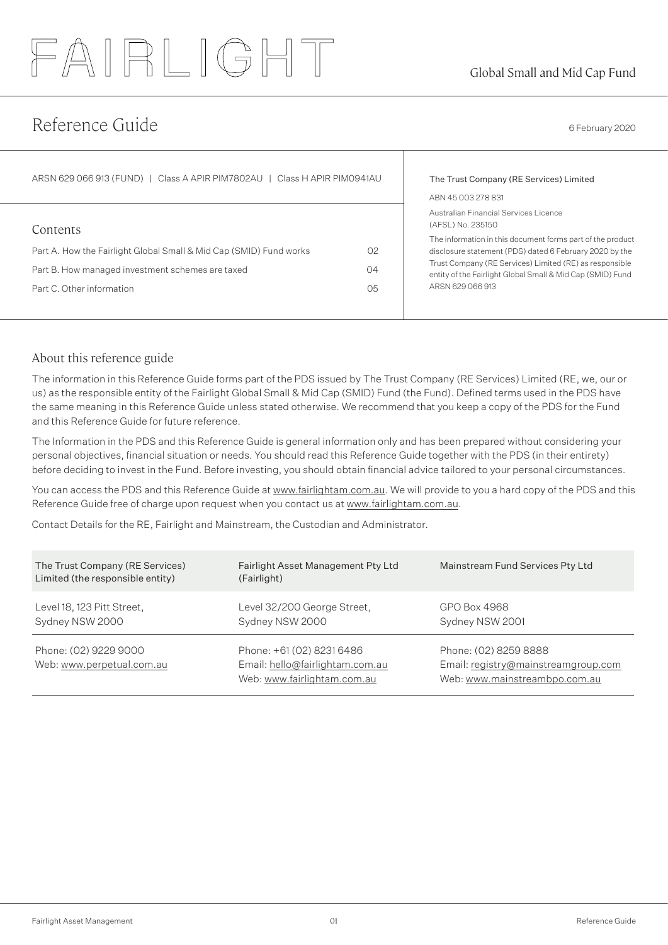# FAIRLIGHT

# Reference Guide 6 February 2020

| ARSN 629 066 913 (FUND)   Class A APIR PIM7802AU   Class H APIR PIM0941AU                                                                                       |                            | The Trust Company (RE Services) Limited<br>ABN 45 003 278 831                                                                                                                                                                                                                                                                    |  |
|-----------------------------------------------------------------------------------------------------------------------------------------------------------------|----------------------------|----------------------------------------------------------------------------------------------------------------------------------------------------------------------------------------------------------------------------------------------------------------------------------------------------------------------------------|--|
| Contents<br>Part A. How the Fairlight Global Small & Mid Cap (SMID) Fund works<br>Part B. How managed investment schemes are taxed<br>Part C. Other information | O <sub>2</sub><br>04<br>05 | Australian Financial Services Licence<br>(AFSL) No. 235150<br>The information in this document forms part of the product<br>disclosure statement (PDS) dated 6 February 2020 by the<br>Trust Company (RE Services) Limited (RE) as responsible<br>entity of the Fairlight Global Small & Mid Cap (SMID) Fund<br>ARSN 629 066 913 |  |

# About this reference guide

The information in this Reference Guide forms part of the PDS issued by The Trust Company (RE Services) Limited (RE, we, our or us) as the responsible entity of the Fairlight Global Small & Mid Cap (SMID) Fund (the Fund). Defined terms used in the PDS have the same meaning in this Reference Guide unless stated otherwise. We recommend that you keep a copy of the PDS for the Fund and this Reference Guide for future reference.

The Information in the PDS and this Reference Guide is general information only and has been prepared without considering your personal objectives, financial situation or needs. You should read this Reference Guide together with the PDS (in their entirety) before deciding to invest in the Fund. Before investing, you should obtain financial advice tailored to your personal circumstances.

You can access the PDS and this Reference Guide at www.fairlightam.com.au. We will provide to you a hard copy of the PDS and this Reference Guide free of charge upon request when you contact us at www.fairlightam.com.au.

Contact Details for the RE, Fairlight and Mainstream, the Custodian and Administrator.

| The Trust Company (RE Services)<br>Limited (the responsible entity) | Fairlight Asset Management Pty Ltd<br>(Fairlight)                                           | Mainstream Fund Services Pty Ltd                                                              |
|---------------------------------------------------------------------|---------------------------------------------------------------------------------------------|-----------------------------------------------------------------------------------------------|
| Level 18, 123 Pitt Street,<br>Sydney NSW 2000                       | Level 32/200 George Street,<br>Sydney NSW 2000                                              | GPO Box 4968<br>Sydney NSW 2001                                                               |
| Phone: (02) 9229 9000<br>Web: www.perpetual.com.au                  | Phone: +61 (02) 8231 6486<br>Email: hello@fairlightam.com.au<br>Web: www.fairlightam.com.au | Phone: (02) 8259 8888<br>Email: registry@mainstreamgroup.com<br>Web: www.mainstreambpo.com.au |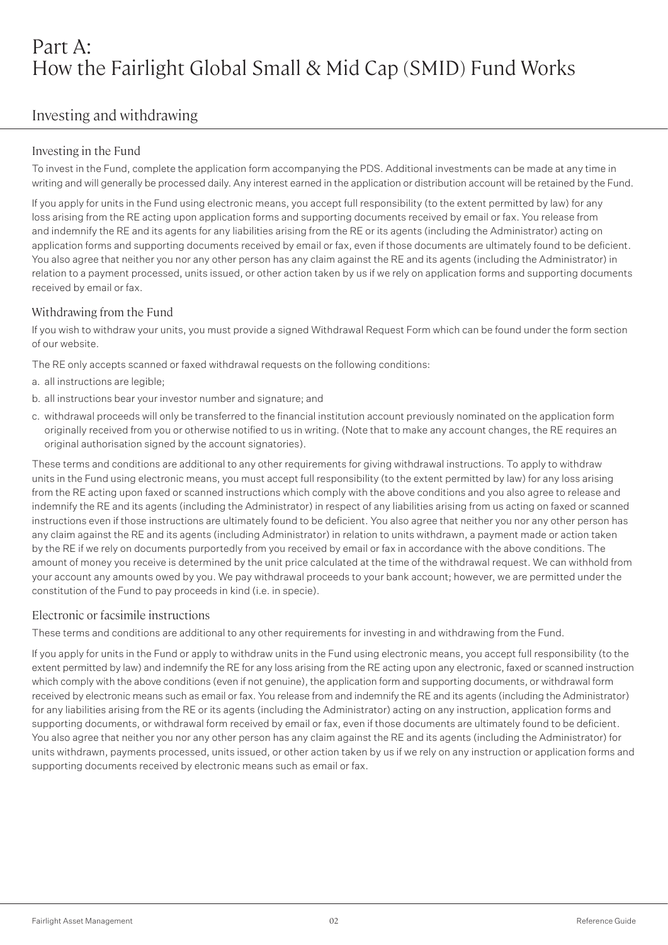# Part A: How the Fairlight Global Small & Mid Cap (SMID) Fund Works

# Investing and withdrawing

# Investing in the Fund

To invest in the Fund, complete the application form accompanying the PDS. Additional investments can be made at any time in writing and will generally be processed daily. Any interest earned in the application or distribution account will be retained by the Fund.

If you apply for units in the Fund using electronic means, you accept full responsibility (to the extent permitted by law) for any loss arising from the RE acting upon application forms and supporting documents received by email or fax. You release from and indemnify the RE and its agents for any liabilities arising from the RE or its agents (including the Administrator) acting on application forms and supporting documents received by email or fax, even if those documents are ultimately found to be deficient. You also agree that neither you nor any other person has any claim against the RE and its agents (including the Administrator) in relation to a payment processed, units issued, or other action taken by us if we rely on application forms and supporting documents received by email or fax.

## Withdrawing from the Fund

If you wish to withdraw your units, you must provide a signed Withdrawal Request Form which can be found under the form section of our website.

The RE only accepts scanned or faxed withdrawal requests on the following conditions:

- a. all instructions are legible;
- b. all instructions bear your investor number and signature; and
- c. withdrawal proceeds will only be transferred to the financial institution account previously nominated on the application form originally received from you or otherwise notified to us in writing. (Note that to make any account changes, the RE requires an original authorisation signed by the account signatories).

These terms and conditions are additional to any other requirements for giving withdrawal instructions. To apply to withdraw units in the Fund using electronic means, you must accept full responsibility (to the extent permitted by law) for any loss arising from the RE acting upon faxed or scanned instructions which comply with the above conditions and you also agree to release and indemnify the RE and its agents (including the Administrator) in respect of any liabilities arising from us acting on faxed or scanned instructions even if those instructions are ultimately found to be deficient. You also agree that neither you nor any other person has any claim against the RE and its agents (including Administrator) in relation to units withdrawn, a payment made or action taken by the RE if we rely on documents purportedly from you received by email or fax in accordance with the above conditions. The amount of money you receive is determined by the unit price calculated at the time of the withdrawal request. We can withhold from your account any amounts owed by you. We pay withdrawal proceeds to your bank account; however, we are permitted under the constitution of the Fund to pay proceeds in kind (i.e. in specie).

## Electronic or facsimile instructions

These terms and conditions are additional to any other requirements for investing in and withdrawing from the Fund.

If you apply for units in the Fund or apply to withdraw units in the Fund using electronic means, you accept full responsibility (to the extent permitted by law) and indemnify the RE for any loss arising from the RE acting upon any electronic, faxed or scanned instruction which comply with the above conditions (even if not genuine), the application form and supporting documents, or withdrawal form received by electronic means such as email or fax. You release from and indemnify the RE and its agents (including the Administrator) for any liabilities arising from the RE or its agents (including the Administrator) acting on any instruction, application forms and supporting documents, or withdrawal form received by email or fax, even if those documents are ultimately found to be deficient. You also agree that neither you nor any other person has any claim against the RE and its agents (including the Administrator) for units withdrawn, payments processed, units issued, or other action taken by us if we rely on any instruction or application forms and supporting documents received by electronic means such as email or fax.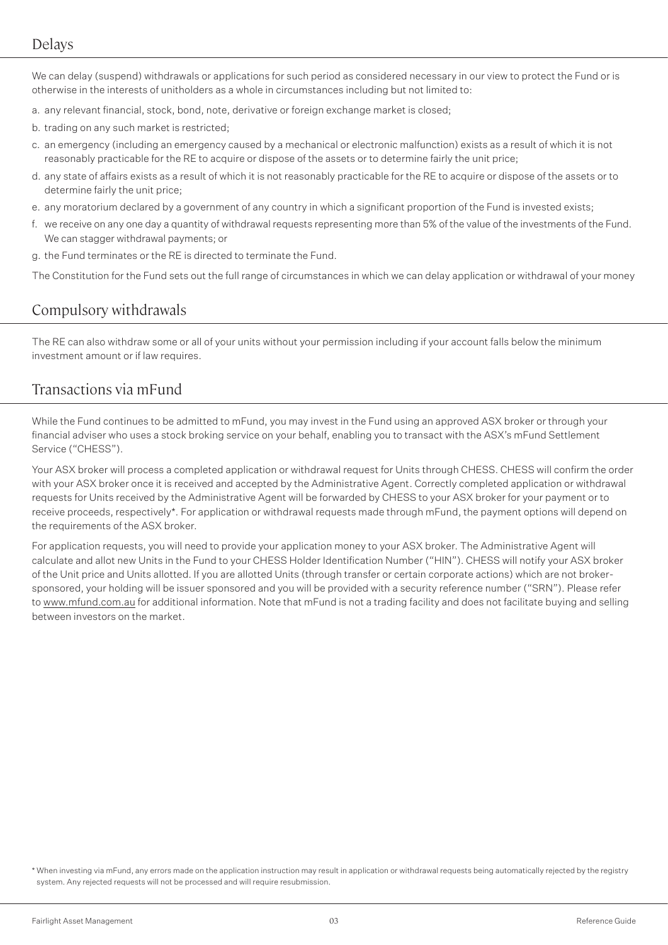# Delays

We can delay (suspend) withdrawals or applications for such period as considered necessary in our view to protect the Fund or is otherwise in the interests of unitholders as a whole in circumstances including but not limited to:

- a. any relevant financial, stock, bond, note, derivative or foreign exchange market is closed;
- b. trading on any such market is restricted;
- c. an emergency (including an emergency caused by a mechanical or electronic malfunction) exists as a result of which it is not reasonably practicable for the RE to acquire or dispose of the assets or to determine fairly the unit price;
- d. any state of affairs exists as a result of which it is not reasonably practicable for the RE to acquire or dispose of the assets or to determine fairly the unit price;
- e. any moratorium declared by a government of any country in which a significant proportion of the Fund is invested exists;
- f. we receive on any one day a quantity of withdrawal requests representing more than 5% of the value of the investments of the Fund. We can stagger withdrawal payments; or
- g. the Fund terminates or the RE is directed to terminate the Fund.

The Constitution for the Fund sets out the full range of circumstances in which we can delay application or withdrawal of your money

# Compulsory withdrawals

The RE can also withdraw some or all of your units without your permission including if your account falls below the minimum investment amount or if law requires.

# Transactions via mFund

While the Fund continues to be admitted to mFund, you may invest in the Fund using an approved ASX broker or through your financial adviser who uses a stock broking service on your behalf, enabling you to transact with the ASX's mFund Settlement Service ("CHESS").

Your ASX broker will process a completed application or withdrawal request for Units through CHESS. CHESS will confirm the order with your ASX broker once it is received and accepted by the Administrative Agent. Correctly completed application or withdrawal requests for Units received by the Administrative Agent will be forwarded by CHESS to your ASX broker for your payment or to receive proceeds, respectively\*. For application or withdrawal requests made through mFund, the payment options will depend on the requirements of the ASX broker.

For application requests, you will need to provide your application money to your ASX broker. The Administrative Agent will calculate and allot new Units in the Fund to your CHESS Holder Identification Number ("HIN"). CHESS will notify your ASX broker of the Unit price and Units allotted. If you are allotted Units (through transfer or certain corporate actions) which are not brokersponsored, your holding will be issuer sponsored and you will be provided with a security reference number ("SRN"). Please refer to www.mfund.com.au for additional information. Note that mFund is not a trading facility and does not facilitate buying and selling between investors on the market.

\* When investing via mFund, any errors made on the application instruction may result in application or withdrawal requests being automatically rejected by the registry system. Any rejected requests will not be processed and will require resubmission.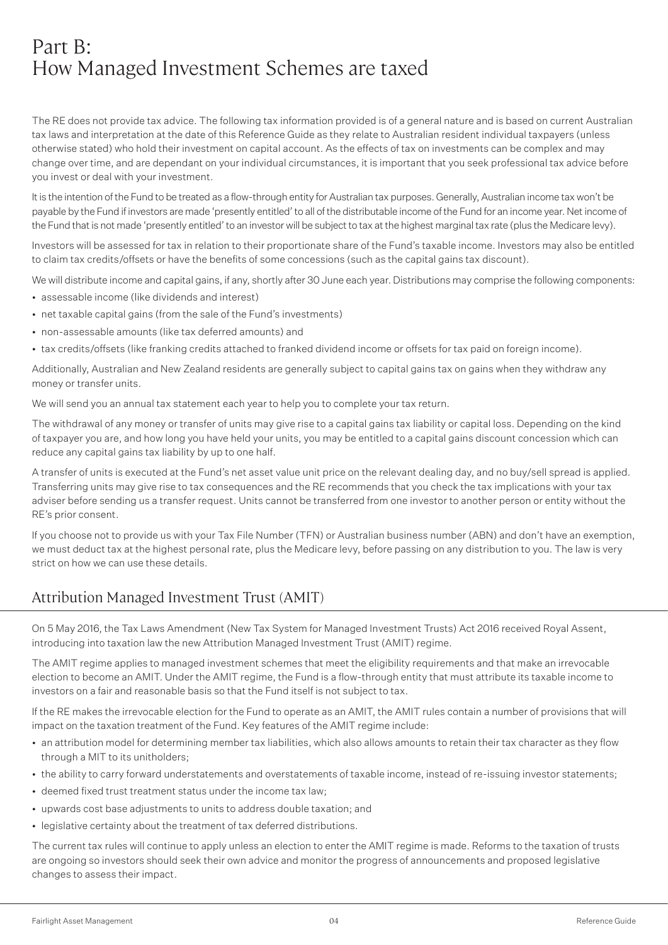# Part B: How Managed Investment Schemes are taxed

The RE does not provide tax advice. The following tax information provided is of a general nature and is based on current Australian tax laws and interpretation at the date of this Reference Guide as they relate to Australian resident individual taxpayers (unless otherwise stated) who hold their investment on capital account. As the effects of tax on investments can be complex and may change over time, and are dependant on your individual circumstances, it is important that you seek professional tax advice before you invest or deal with your investment.

It is the intention of the Fund to be treated as a flow-through entity for Australian tax purposes. Generally, Australian income tax won't be payable by the Fund if investors are made 'presently entitled' to all of the distributable income of the Fund for an income year. Net income of the Fund that is not made 'presently entitled' to an investor will be subject to tax at the highest marginal tax rate (plus the Medicare levy).

Investors will be assessed for tax in relation to their proportionate share of the Fund's taxable income. Investors may also be entitled to claim tax credits/offsets or have the benefits of some concessions (such as the capital gains tax discount).

We will distribute income and capital gains, if any, shortly after 30 June each year. Distributions may comprise the following components:

- assessable income (like dividends and interest)
- net taxable capital gains (from the sale of the Fund's investments)
- non-assessable amounts (like tax deferred amounts) and
- tax credits/offsets (like franking credits attached to franked dividend income or offsets for tax paid on foreign income).

Additionally, Australian and New Zealand residents are generally subject to capital gains tax on gains when they withdraw any money or transfer units.

We will send you an annual tax statement each year to help you to complete your tax return.

The withdrawal of any money or transfer of units may give rise to a capital gains tax liability or capital loss. Depending on the kind of taxpayer you are, and how long you have held your units, you may be entitled to a capital gains discount concession which can reduce any capital gains tax liability by up to one half.

A transfer of units is executed at the Fund's net asset value unit price on the relevant dealing day, and no buy/sell spread is applied. Transferring units may give rise to tax consequences and the RE recommends that you check the tax implications with your tax adviser before sending us a transfer request. Units cannot be transferred from one investor to another person or entity without the RE's prior consent.

If you choose not to provide us with your Tax File Number (TFN) or Australian business number (ABN) and don't have an exemption, we must deduct tax at the highest personal rate, plus the Medicare levy, before passing on any distribution to you. The law is very strict on how we can use these details.

# Attribution Managed Investment Trust (AMIT)

On 5 May 2016, the Tax Laws Amendment (New Tax System for Managed Investment Trusts) Act 2016 received Royal Assent, introducing into taxation law the new Attribution Managed Investment Trust (AMIT) regime.

The AMIT regime applies to managed investment schemes that meet the eligibility requirements and that make an irrevocable election to become an AMIT. Under the AMIT regime, the Fund is a flow-through entity that must attribute its taxable income to investors on a fair and reasonable basis so that the Fund itself is not subject to tax.

If the RE makes the irrevocable election for the Fund to operate as an AMIT, the AMIT rules contain a number of provisions that will impact on the taxation treatment of the Fund. Key features of the AMIT regime include:

- an attribution model for determining member tax liabilities, which also allows amounts to retain their tax character as they flow through a MIT to its unitholders;
- the ability to carry forward understatements and overstatements of taxable income, instead of re-issuing investor statements;
- deemed fixed trust treatment status under the income tax law;
- upwards cost base adjustments to units to address double taxation; and
- legislative certainty about the treatment of tax deferred distributions.

The current tax rules will continue to apply unless an election to enter the AMIT regime is made. Reforms to the taxation of trusts are ongoing so investors should seek their own advice and monitor the progress of announcements and proposed legislative changes to assess their impact.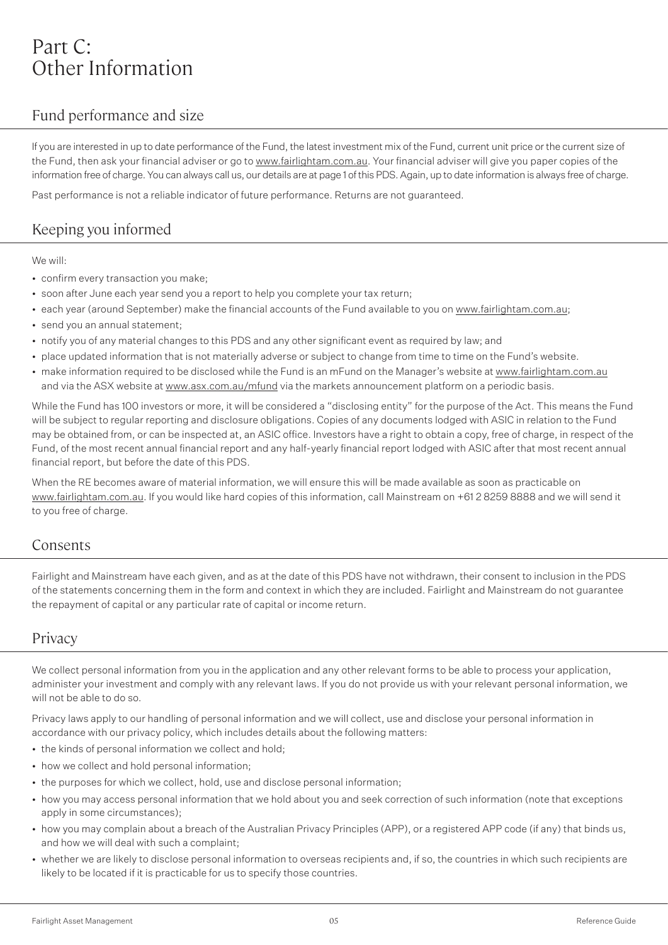# Part C: Other Information

# Fund performance and size

If you are interested in up to date performance of the Fund, the latest investment mix of the Fund, current unit price or the current size of the Fund, then ask your financial adviser or go to www.fairlightam.com.au. Your financial adviser will give you paper copies of the information free of charge. You can always call us, our details are at page 1 of this PDS. Again, up to date information is always free of charge.

Past performance is not a reliable indicator of future performance. Returns are not guaranteed.

# Keeping you informed

We will:

- confirm every transaction you make;
- soon after June each year send you a report to help you complete your tax return;
- each year (around September) make the financial accounts of the Fund available to you on www.fairlightam.com.au;
- send you an annual statement:
- notify you of any material changes to this PDS and any other significant event as required by law; and
- place updated information that is not materially adverse or subject to change from time to time on the Fund's website.
- make information required to be disclosed while the Fund is an mFund on the Manager's website at www.fairlightam.com.au and via the ASX website at www.asx.com.au/mfund via the markets announcement platform on a periodic basis.

While the Fund has 100 investors or more, it will be considered a "disclosing entity" for the purpose of the Act. This means the Fund will be subject to regular reporting and disclosure obligations. Copies of any documents lodged with ASIC in relation to the Fund may be obtained from, or can be inspected at, an ASIC office. Investors have a right to obtain a copy, free of charge, in respect of the Fund, of the most recent annual financial report and any half-yearly financial report lodged with ASIC after that most recent annual financial report, but before the date of this PDS.

When the RE becomes aware of material information, we will ensure this will be made available as soon as practicable on www.fairlightam.com.au. If you would like hard copies of this information, call Mainstream on +61 2 8259 8888 and we will send it to you free of charge.

# Consents

Fairlight and Mainstream have each given, and as at the date of this PDS have not withdrawn, their consent to inclusion in the PDS of the statements concerning them in the form and context in which they are included. Fairlight and Mainstream do not guarantee the repayment of capital or any particular rate of capital or income return.

# **Privacy**

We collect personal information from you in the application and any other relevant forms to be able to process your application, administer your investment and comply with any relevant laws. If you do not provide us with your relevant personal information, we will not be able to do so.

Privacy laws apply to our handling of personal information and we will collect, use and disclose your personal information in accordance with our privacy policy, which includes details about the following matters:

- the kinds of personal information we collect and hold;
- how we collect and hold personal information;
- the purposes for which we collect, hold, use and disclose personal information;
- how you may access personal information that we hold about you and seek correction of such information (note that exceptions apply in some circumstances);
- how you may complain about a breach of the Australian Privacy Principles (APP), or a registered APP code (if any) that binds us, and how we will deal with such a complaint;
- whether we are likely to disclose personal information to overseas recipients and, if so, the countries in which such recipients are likely to be located if it is practicable for us to specify those countries.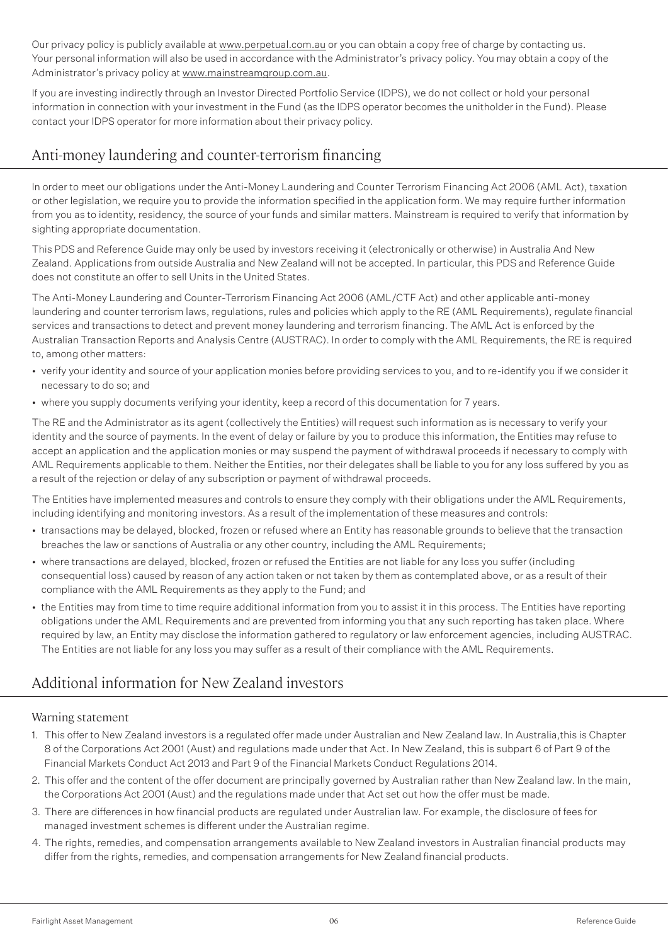Our privacy policy is publicly available at www.perpetual.com.au or you can obtain a copy free of charge by contacting us. Your personal information will also be used in accordance with the Administrator's privacy policy. You may obtain a copy of the Administrator's privacy policy at www.mainstreamgroup.com.au.

If you are investing indirectly through an Investor Directed Portfolio Service (IDPS), we do not collect or hold your personal information in connection with your investment in the Fund (as the IDPS operator becomes the unitholder in the Fund). Please contact your IDPS operator for more information about their privacy policy.

# Anti-money laundering and counter-terrorism financing

In order to meet our obligations under the Anti-Money Laundering and Counter Terrorism Financing Act 2006 (AML Act), taxation or other legislation, we require you to provide the information specified in the application form. We may require further information from you as to identity, residency, the source of your funds and similar matters. Mainstream is required to verify that information by sighting appropriate documentation.

This PDS and Reference Guide may only be used by investors receiving it (electronically or otherwise) in Australia And New Zealand. Applications from outside Australia and New Zealand will not be accepted. In particular, this PDS and Reference Guide does not constitute an offer to sell Units in the United States.

The Anti-Money Laundering and Counter-Terrorism Financing Act 2006 (AML/CTF Act) and other applicable anti-money laundering and counter terrorism laws, regulations, rules and policies which apply to the RE (AML Requirements), regulate financial services and transactions to detect and prevent money laundering and terrorism financing. The AML Act is enforced by the Australian Transaction Reports and Analysis Centre (AUSTRAC). In order to comply with the AML Requirements, the RE is required to, among other matters:

- verify your identity and source of your application monies before providing services to you, and to re-identify you if we consider it necessary to do so; and
- where you supply documents verifying your identity, keep a record of this documentation for 7 years.

The RE and the Administrator as its agent (collectively the Entities) will request such information as is necessary to verify your identity and the source of payments. In the event of delay or failure by you to produce this information, the Entities may refuse to accept an application and the application monies or may suspend the payment of withdrawal proceeds if necessary to comply with AML Requirements applicable to them. Neither the Entities, nor their delegates shall be liable to you for any loss suffered by you as a result of the rejection or delay of any subscription or payment of withdrawal proceeds.

The Entities have implemented measures and controls to ensure they comply with their obligations under the AML Requirements, including identifying and monitoring investors. As a result of the implementation of these measures and controls:

- transactions may be delayed, blocked, frozen or refused where an Entity has reasonable grounds to believe that the transaction breaches the law or sanctions of Australia or any other country, including the AML Requirements;
- where transactions are delayed, blocked, frozen or refused the Entities are not liable for any loss you suffer (including consequential loss) caused by reason of any action taken or not taken by them as contemplated above, or as a result of their compliance with the AML Requirements as they apply to the Fund; and
- the Entities may from time to time require additional information from you to assist it in this process. The Entities have reporting obligations under the AML Requirements and are prevented from informing you that any such reporting has taken place. Where required by law, an Entity may disclose the information gathered to regulatory or law enforcement agencies, including AUSTRAC. The Entities are not liable for any loss you may suffer as a result of their compliance with the AML Requirements.

# Additional information for New Zealand investors

## Warning statement

- 1. This offer to New Zealand investors is a regulated offer made under Australian and New Zealand law. In Australia,this is Chapter 8 of the Corporations Act 2001 (Aust) and regulations made under that Act. In New Zealand, this is subpart 6 of Part 9 of the Financial Markets Conduct Act 2013 and Part 9 of the Financial Markets Conduct Regulations 2014.
- 2. This offer and the content of the offer document are principally governed by Australian rather than New Zealand law. In the main, the Corporations Act 2001 (Aust) and the regulations made under that Act set out how the offer must be made.
- 3. There are differences in how financial products are regulated under Australian law. For example, the disclosure of fees for managed investment schemes is different under the Australian regime.
- 4. The rights, remedies, and compensation arrangements available to New Zealand investors in Australian financial products may differ from the rights, remedies, and compensation arrangements for New Zealand financial products.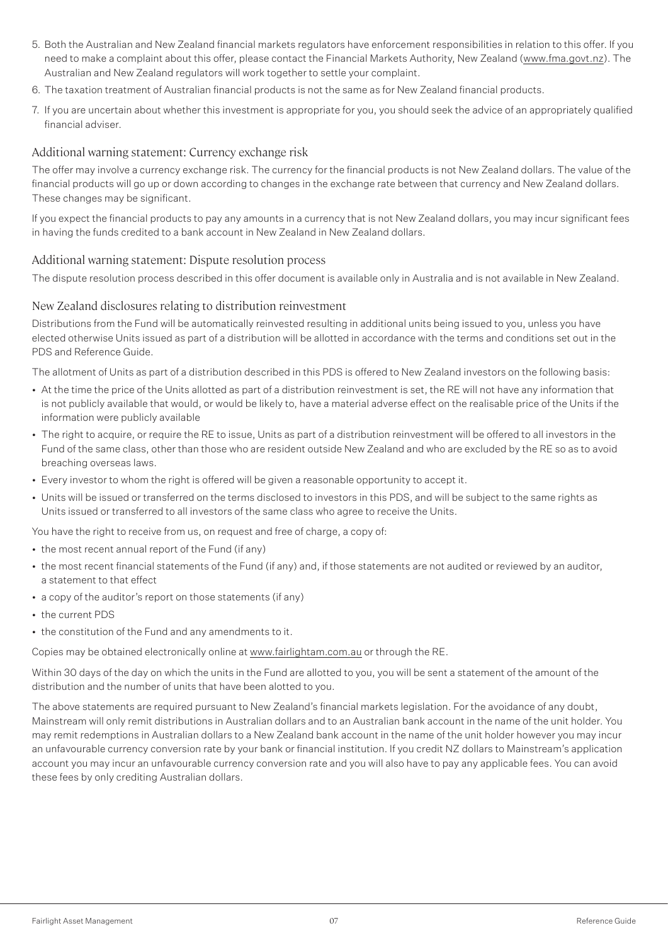- 5. Both the Australian and New Zealand financial markets regulators have enforcement responsibilities in relation to this offer. If you need to make a complaint about this offer, please contact the Financial Markets Authority, New Zealand (www.fma.govt.nz). The Australian and New Zealand regulators will work together to settle your complaint.
- 6. The taxation treatment of Australian financial products is not the same as for New Zealand financial products.
- 7. If you are uncertain about whether this investment is appropriate for you, you should seek the advice of an appropriately qualified financial adviser.

### Additional warning statement: Currency exchange risk

The offer may involve a currency exchange risk. The currency for the financial products is not New Zealand dollars. The value of the financial products will go up or down according to changes in the exchange rate between that currency and New Zealand dollars. These changes may be significant.

If you expect the financial products to pay any amounts in a currency that is not New Zealand dollars, you may incur significant fees in having the funds credited to a bank account in New Zealand in New Zealand dollars.

## Additional warning statement: Dispute resolution process

The dispute resolution process described in this offer document is available only in Australia and is not available in New Zealand.

### New Zealand disclosures relating to distribution reinvestment

Distributions from the Fund will be automatically reinvested resulting in additional units being issued to you, unless you have elected otherwise Units issued as part of a distribution will be allotted in accordance with the terms and conditions set out in the PDS and Reference Guide.

The allotment of Units as part of a distribution described in this PDS is offered to New Zealand investors on the following basis:

- At the time the price of the Units allotted as part of a distribution reinvestment is set, the RE will not have any information that is not publicly available that would, or would be likely to, have a material adverse effect on the realisable price of the Units if the information were publicly available
- The right to acquire, or require the RE to issue, Units as part of a distribution reinvestment will be offered to all investors in the Fund of the same class, other than those who are resident outside New Zealand and who are excluded by the RE so as to avoid breaching overseas laws.
- Every investor to whom the right is offered will be given a reasonable opportunity to accept it.
- Units will be issued or transferred on the terms disclosed to investors in this PDS, and will be subject to the same rights as Units issued or transferred to all investors of the same class who agree to receive the Units.

You have the right to receive from us, on request and free of charge, a copy of:

- the most recent annual report of the Fund (if any)
- the most recent financial statements of the Fund (if any) and, if those statements are not audited or reviewed by an auditor, a statement to that effect
- a copy of the auditor's report on those statements (if any)
- the current PDS
- the constitution of the Fund and any amendments to it.

Copies may be obtained electronically online at www.fairlightam.com.au or through the RE.

Within 30 days of the day on which the units in the Fund are allotted to you, you will be sent a statement of the amount of the distribution and the number of units that have been alotted to you.

The above statements are required pursuant to New Zealand's financial markets legislation. For the avoidance of any doubt, Mainstream will only remit distributions in Australian dollars and to an Australian bank account in the name of the unit holder. You may remit redemptions in Australian dollars to a New Zealand bank account in the name of the unit holder however you may incur an unfavourable currency conversion rate by your bank or financial institution. If you credit NZ dollars to Mainstream's application account you may incur an unfavourable currency conversion rate and you will also have to pay any applicable fees. You can avoid these fees by only crediting Australian dollars.